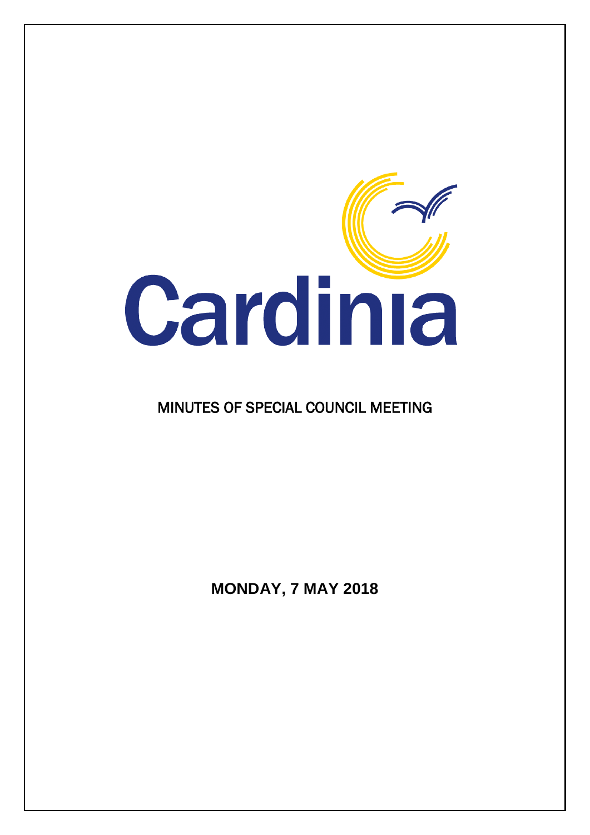

### MINUTES OF SPECIAL COUNCIL MEETING

**MONDAY, 7 MAY 2018**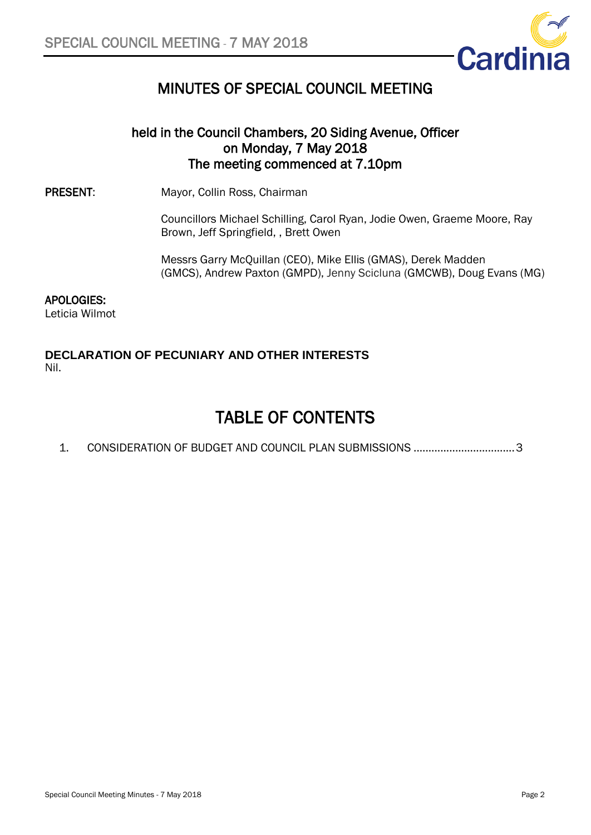

### MINUTES OF SPECIAL COUNCIL MEETING

### held in the Council Chambers, 20 Siding Avenue, Officer on Monday, 7 May 2018 The meeting commenced at 7.10pm

PRESENT: Mayor, Collin Ross, Chairman

Councillors Michael Schilling, Carol Ryan, Jodie Owen, Graeme Moore, Ray Brown, Jeff Springfield, , Brett Owen

Messrs Garry McQuillan (CEO), Mike Ellis (GMAS), Derek Madden (GMCS), Andrew Paxton (GMPD), Jenny Scicluna (GMCWB), Doug Evans (MG)

#### APOLOGIES:

Leticia Wilmot

#### **DECLARATION OF PECUNIARY AND OTHER INTERESTS** Nil.

## TABLE OF CONTENTS

1. [CONSIDERATION OF BUDGET AND COUNCIL PLAN](#page-2-0) SUBMISSIONS ..................................3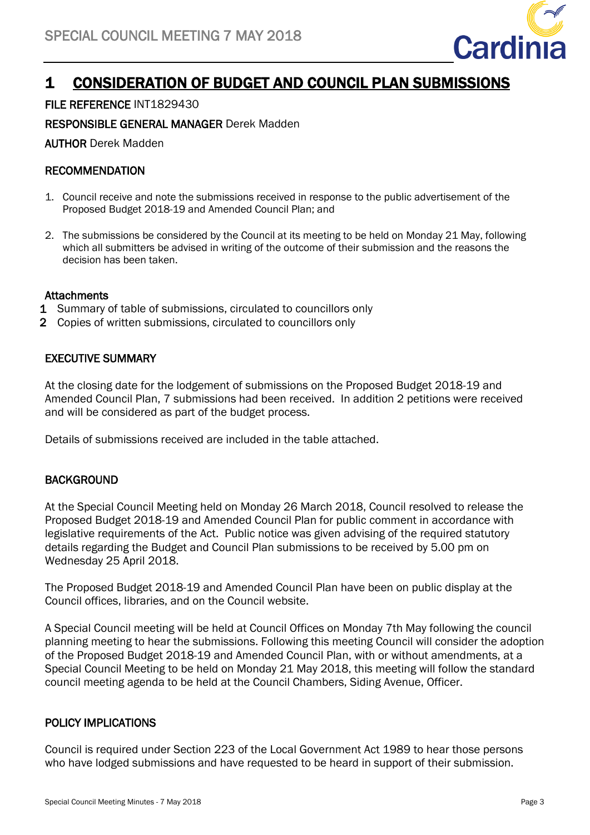<span id="page-2-0"></span>

### 1 CONSIDERATION OF BUDGET AND COUNCIL PLAN SUBMISSIONS

#### FILE REFERENCE INT1829430

RESPONSIBLE GENERAL MANAGER Derek Madden

AUTHOR Derek Madden

#### RECOMMENDATION

- 1. Council receive and note the submissions received in response to the public advertisement of the Proposed Budget 2018-19 and Amended Council Plan; and
- 2. The submissions be considered by the Council at its meeting to be held on Monday 21 May, following which all submitters be advised in writing of the outcome of their submission and the reasons the decision has been taken.

#### **Attachments**

- 1 Summary of table of submissions, circulated to councillors only
- 2 Copies of written submissions, circulated to councillors only

#### EXECUTIVE SUMMARY

At the closing date for the lodgement of submissions on the Proposed Budget 2018-19 and Amended Council Plan, 7 submissions had been received. In addition 2 petitions were received and will be considered as part of the budget process.

Details of submissions received are included in the table attached.

#### **BACKGROUND**

At the Special Council Meeting held on Monday 26 March 2018, Council resolved to release the Proposed Budget 2018-19 and Amended Council Plan for public comment in accordance with legislative requirements of the Act. Public notice was given advising of the required statutory details regarding the Budget and Council Plan submissions to be received by 5.00 pm on Wednesday 25 April 2018.

The Proposed Budget 2018-19 and Amended Council Plan have been on public display at the Council offices, libraries, and on the Council website.

A Special Council meeting will be held at Council Offices on Monday 7th May following the council planning meeting to hear the submissions. Following this meeting Council will consider the adoption of the Proposed Budget 2018-19 and Amended Council Plan, with or without amendments, at a Special Council Meeting to be held on Monday 21 May 2018, this meeting will follow the standard council meeting agenda to be held at the Council Chambers, Siding Avenue, Officer.

#### POLICY IMPLICATIONS

Council is required under Section 223 of the Local Government Act 1989 to hear those persons who have lodged submissions and have requested to be heard in support of their submission.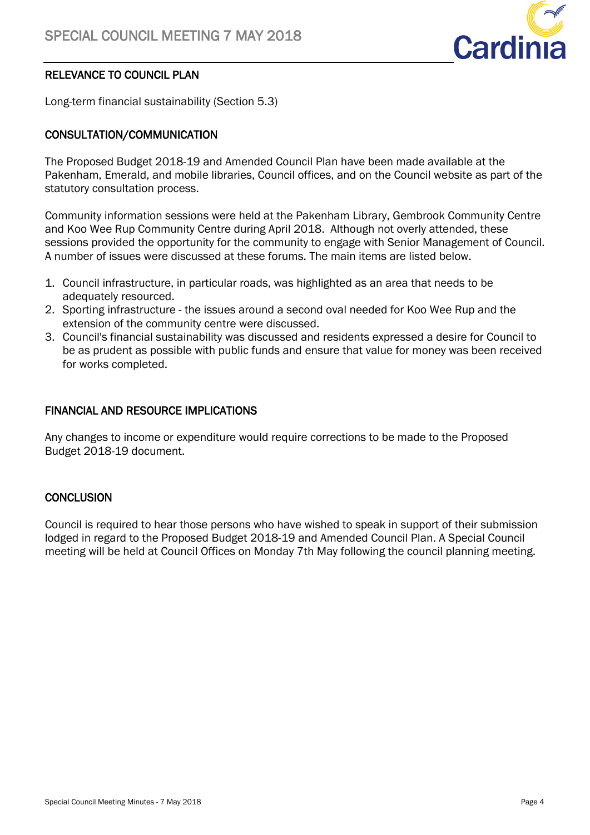

#### RELEVANCE TO COUNCIL PLAN

Long-term financial sustainability (Section 5.3)

#### CONSULTATION/COMMUNICATION

The Proposed Budget 2018-19 and Amended Council Plan have been made available at the Pakenham, Emerald, and mobile libraries, Council offices, and on the Council website as part of the statutory consultation process.

Community information sessions were held at the Pakenham Library, Gembrook Community Centre and Koo Wee Rup Community Centre during April 2018. Although not overly attended, these sessions provided the opportunity for the community to engage with Senior Management of Council. A number of issues were discussed at these forums. The main items are listed below.

- 1. Council infrastructure, in particular roads, was highlighted as an area that needs to be adequately resourced.
- 2. Sporting infrastructure the issues around a second oval needed for Koo Wee Rup and the extension of the community centre were discussed.
- 3. Council's financial sustainability was discussed and residents expressed a desire for Council to be as prudent as possible with public funds and ensure that value for money was been received for works completed.

#### FINANCIAL AND RESOURCE IMPLICATIONS

Any changes to income or expenditure would require corrections to be made to the Proposed Budget 2018-19 document.

#### **CONCLUSION**

Council is required to hear those persons who have wished to speak in support of their submission lodged in regard to the Proposed Budget 2018-19 and Amended Council Plan. A Special Council meeting will be held at Council Offices on Monday 7th May following the council planning meeting.